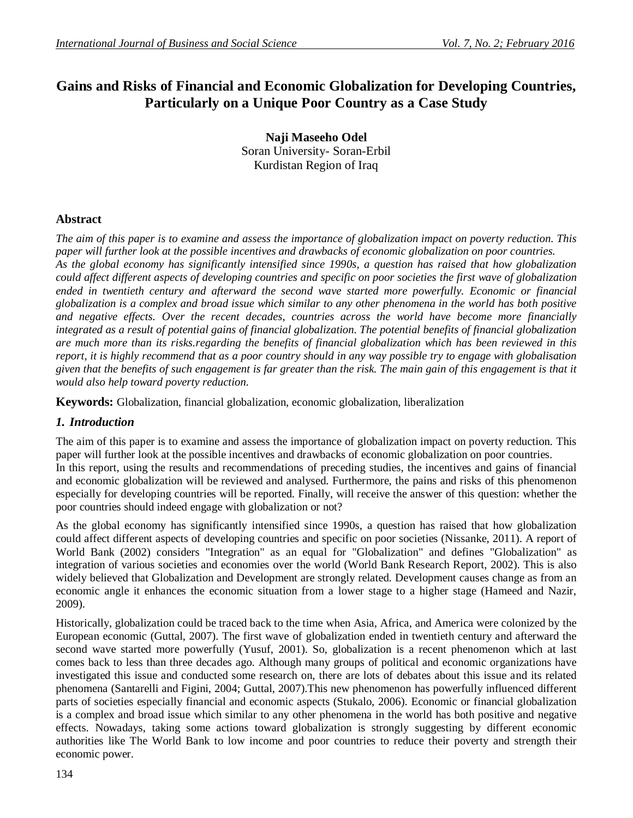# **Gains and Risks of Financial and Economic Globalization for Developing Countries, Particularly on a Unique Poor Country as a Case Study**

**Naji Maseeho Odel** Soran University- Soran-Erbil Kurdistan Region of Iraq

## **Abstract**

*The aim of this paper is to examine and assess the importance of globalization impact on poverty reduction. This paper will further look at the possible incentives and drawbacks of economic globalization on poor countries. As the global economy has significantly intensified since 1990s, a question has raised that how globalization could affect different aspects of developing countries and specific on poor societies the first wave of globalization ended in twentieth century and afterward the second wave started more powerfully. Economic or financial globalization is a complex and broad issue which similar to any other phenomena in the world has both positive and negative effects. Over the recent decades, countries across the world have become more financially integrated as a result of potential gains of financial globalization. The potential benefits of financial globalization are much more than its risks.regarding the benefits of financial globalization which has been reviewed in this report, it is highly recommend that as a poor country should in any way possible try to engage with globalisation given that the benefits of such engagement is far greater than the risk. The main gain of this engagement is that it would also help toward poverty reduction.*

**Keywords:** Globalization, financial globalization, economic globalization, liberalization

#### *1. Introduction*

The aim of this paper is to examine and assess the importance of globalization impact on poverty reduction. This paper will further look at the possible incentives and drawbacks of economic globalization on poor countries. In this report, using the results and recommendations of preceding studies, the incentives and gains of financial and economic globalization will be reviewed and analysed. Furthermore, the pains and risks of this phenomenon especially for developing countries will be reported. Finally, will receive the answer of this question: whether the poor countries should indeed engage with globalization or not?

As the global economy has significantly intensified since 1990s, a question has raised that how globalization could affect different aspects of developing countries and specific on poor societies (Nissanke, 2011). A report of World Bank (2002) considers "Integration" as an equal for "Globalization" and defines "Globalization" as integration of various societies and economies over the world (World Bank Research Report, 2002). This is also widely believed that Globalization and Development are strongly related. Development causes change as from an economic angle it enhances the economic situation from a lower stage to a higher stage (Hameed and Nazir, 2009).

Historically, globalization could be traced back to the time when Asia, Africa, and America were colonized by the European economic (Guttal, 2007). The first wave of globalization ended in twentieth century and afterward the second wave started more powerfully (Yusuf, 2001). So, globalization is a recent phenomenon which at last comes back to less than three decades ago. Although many groups of political and economic organizations have investigated this issue and conducted some research on, there are lots of debates about this issue and its related phenomena (Santarelli and Figini, 2004; Guttal, 2007).This new phenomenon has powerfully influenced different parts of societies especially financial and economic aspects (Stukalo, 2006). Economic or financial globalization is a complex and broad issue which similar to any other phenomena in the world has both positive and negative effects. Nowadays, taking some actions toward globalization is strongly suggesting by different economic authorities like The World Bank to low income and poor countries to reduce their poverty and strength their economic power.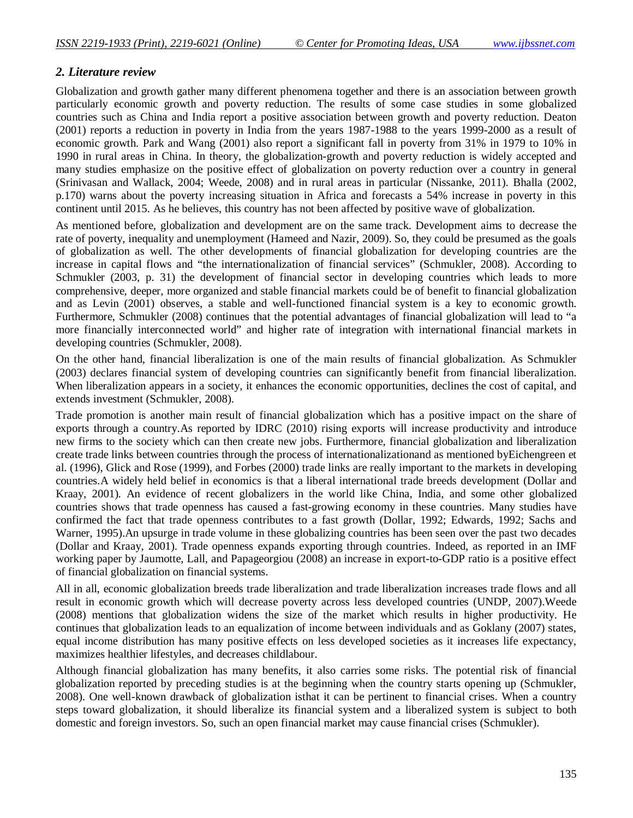#### *2. Literature review*

Globalization and growth gather many different phenomena together and there is an association between growth particularly economic growth and poverty reduction. The results of some case studies in some globalized countries such as China and India report a positive association between growth and poverty reduction. Deaton (2001) reports a reduction in poverty in India from the years 1987-1988 to the years 1999-2000 as a result of economic growth. Park and Wang (2001) also report a significant fall in poverty from 31% in 1979 to 10% in 1990 in rural areas in China. In theory, the globalization-growth and poverty reduction is widely accepted and many studies emphasize on the positive effect of globalization on poverty reduction over a country in general (Srinivasan and Wallack, 2004; Weede, 2008) and in rural areas in particular (Nissanke, 2011). Bhalla (2002, p.170) warns about the poverty increasing situation in Africa and forecasts a 54% increase in poverty in this continent until 2015. As he believes, this country has not been affected by positive wave of globalization.

As mentioned before, globalization and development are on the same track. Development aims to decrease the rate of poverty, inequality and unemployment (Hameed and Nazir, 2009). So, they could be presumed as the goals of globalization as well. The other developments of financial globalization for developing countries are the increase in capital flows and "the internationalization of financial services" (Schmukler, 2008). According to Schmukler (2003, p. 31) the development of financial sector in developing countries which leads to more comprehensive, deeper, more organized and stable financial markets could be of benefit to financial globalization and as Levin (2001) observes, a stable and well-functioned financial system is a key to economic growth. Furthermore, Schmukler (2008) continues that the potential advantages of financial globalization will lead to "a more financially interconnected world" and higher rate of integration with international financial markets in developing countries (Schmukler, 2008).

On the other hand, financial liberalization is one of the main results of financial globalization. As Schmukler (2003) declares financial system of developing countries can significantly benefit from financial liberalization. When liberalization appears in a society, it enhances the economic opportunities, declines the cost of capital, and extends investment (Schmukler, 2008).

Trade promotion is another main result of financial globalization which has a positive impact on the share of exports through a country.As reported by IDRC (2010) rising exports will increase productivity and introduce new firms to the society which can then create new jobs. Furthermore, financial globalization and liberalization create trade links between countries through the process of internationalizationand as mentioned byEichengreen et al. (1996), Glick and Rose (1999), and Forbes (2000) trade links are really important to the markets in developing countries.A widely held belief in economics is that a liberal international trade breeds development (Dollar and Kraay, 2001). An evidence of recent globalizers in the world like China, India, and some other globalized countries shows that trade openness has caused a fast-growing economy in these countries. Many studies have confirmed the fact that trade openness contributes to a fast growth (Dollar, 1992; Edwards, 1992; Sachs and Warner, 1995).An upsurge in trade volume in these globalizing countries has been seen over the past two decades (Dollar and Kraay, 2001). Trade openness expands exporting through countries. Indeed, as reported in an IMF working paper by Jaumotte, Lall, and Papageorgiou (2008) an increase in export-to-GDP ratio is a positive effect of financial globalization on financial systems.

All in all, economic globalization breeds trade liberalization and trade liberalization increases trade flows and all result in economic growth which will decrease poverty across less developed countries (UNDP, 2007).Weede (2008) mentions that globalization widens the size of the market which results in higher productivity. He continues that globalization leads to an equalization of income between individuals and as Goklany (2007) states, equal income distribution has many positive effects on less developed societies as it increases life expectancy, maximizes healthier lifestyles, and decreases childlabour.

Although financial globalization has many benefits, it also carries some risks. The potential risk of financial globalization reported by preceding studies is at the beginning when the country starts opening up (Schmukler, 2008). One well-known drawback of globalization isthat it can be pertinent to financial crises. When a country steps toward globalization, it should liberalize its financial system and a liberalized system is subject to both domestic and foreign investors. So, such an open financial market may cause financial crises (Schmukler).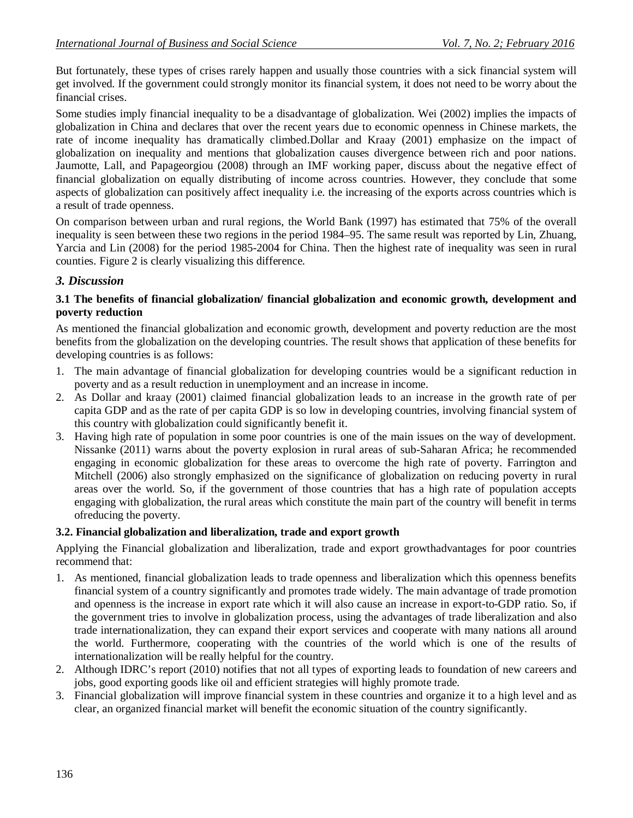But fortunately, these types of crises rarely happen and usually those countries with a sick financial system will get involved. If the government could strongly monitor its financial system, it does not need to be worry about the financial crises.

Some studies imply financial inequality to be a disadvantage of globalization. Wei (2002) implies the impacts of globalization in China and declares that over the recent years due to economic openness in Chinese markets, the rate of income inequality has dramatically climbed.Dollar and Kraay (2001) emphasize on the impact of globalization on inequality and mentions that globalization causes divergence between rich and poor nations. Jaumotte, Lall, and Papageorgiou (2008) through an IMF working paper, discuss about the negative effect of financial globalization on equally distributing of income across countries. However, they conclude that some aspects of globalization can positively affect inequality i.e. the increasing of the exports across countries which is a result of trade openness.

On comparison between urban and rural regions, the World Bank (1997) has estimated that 75% of the overall inequality is seen between these two regions in the period 1984–95. The same result was reported by Lin, Zhuang, Yarcia and Lin (2008) for the period 1985-2004 for China. Then the highest rate of inequality was seen in rural counties. Figure 2 is clearly visualizing this difference.

# *3. Discussion*

#### **3.1 The benefits of financial globalization/ financial globalization and economic growth, development and poverty reduction**

As mentioned the financial globalization and economic growth, development and poverty reduction are the most benefits from the globalization on the developing countries. The result shows that application of these benefits for developing countries is as follows:

- 1. The main advantage of financial globalization for developing countries would be a significant reduction in poverty and as a result reduction in unemployment and an increase in income.
- 2. As Dollar and kraay (2001) claimed financial globalization leads to an increase in the growth rate of per capita GDP and as the rate of per capita GDP is so low in developing countries, involving financial system of this country with globalization could significantly benefit it.
- 3. Having high rate of population in some poor countries is one of the main issues on the way of development. Nissanke (2011) warns about the poverty explosion in rural areas of sub-Saharan Africa; he recommended engaging in economic globalization for these areas to overcome the high rate of poverty. Farrington and Mitchell (2006) also strongly emphasized on the significance of globalization on reducing poverty in rural areas over the world. So, if the government of those countries that has a high rate of population accepts engaging with globalization, the rural areas which constitute the main part of the country will benefit in terms ofreducing the poverty.

#### **3.2. Financial globalization and liberalization, trade and export growth**

Applying the Financial globalization and liberalization, trade and export growthadvantages for poor countries recommend that:

- 1. As mentioned, financial globalization leads to trade openness and liberalization which this openness benefits financial system of a country significantly and promotes trade widely. The main advantage of trade promotion and openness is the increase in export rate which it will also cause an increase in export-to-GDP ratio. So, if the government tries to involve in globalization process, using the advantages of trade liberalization and also trade internationalization, they can expand their export services and cooperate with many nations all around the world. Furthermore, cooperating with the countries of the world which is one of the results of internationalization will be really helpful for the country.
- 2. Although IDRC's report (2010) notifies that not all types of exporting leads to foundation of new careers and jobs, good exporting goods like oil and efficient strategies will highly promote trade.
- 3. Financial globalization will improve financial system in these countries and organize it to a high level and as clear, an organized financial market will benefit the economic situation of the country significantly.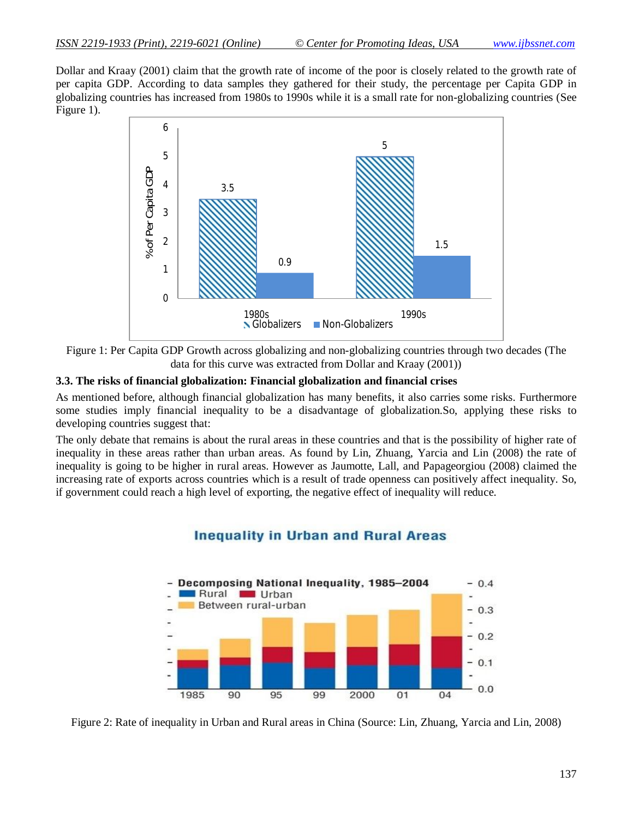Dollar and Kraay (2001) claim that the growth rate of income of the poor is closely related to the growth rate of per capita GDP. According to data samples they gathered for their study, the percentage per Capita GDP in globalizing countries has increased from 1980s to 1990s while it is a small rate for non-globalizing countries (See Figure 1).





#### **3.3. The risks of financial globalization: Financial globalization and financial crises**

As mentioned before, although financial globalization has many benefits, it also carries some risks. Furthermore some studies imply financial inequality to be a disadvantage of globalization.So, applying these risks to developing countries suggest that:

The only debate that remains is about the rural areas in these countries and that is the possibility of higher rate of inequality in these areas rather than urban areas. As found by Lin, Zhuang, Yarcia and Lin (2008) the rate of inequality is going to be higher in rural areas. However as Jaumotte, Lall, and Papageorgiou (2008) claimed the increasing rate of exports across countries which is a result of trade openness can positively affect inequality. So, if government could reach a high level of exporting, the negative effect of inequality will reduce.



# **Inequality in Urban and Rural Areas**

Figure 2: Rate of inequality in Urban and Rural areas in China (Source: Lin, Zhuang, Yarcia and Lin, 2008)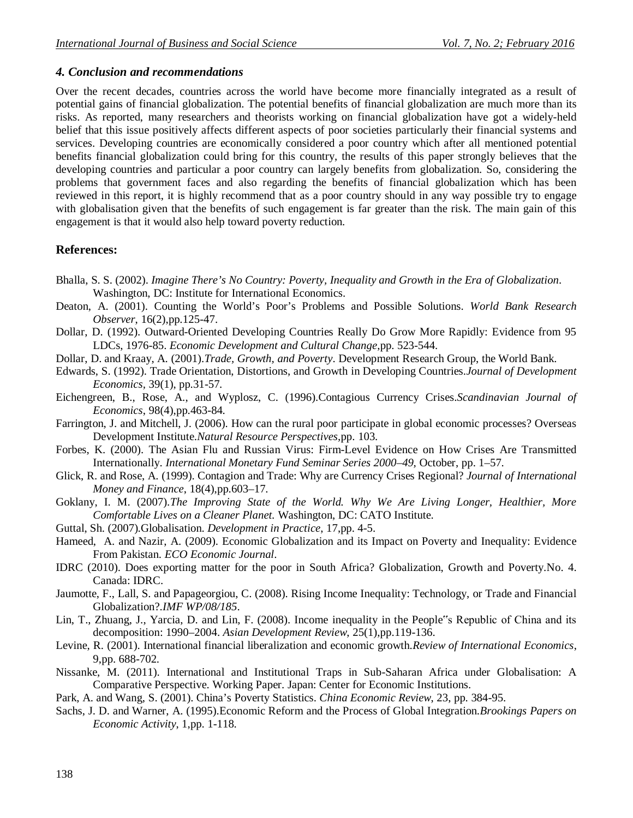#### *4. Conclusion and recommendations*

Over the recent decades, countries across the world have become more financially integrated as a result of potential gains of financial globalization. The potential benefits of financial globalization are much more than its risks. As reported, many researchers and theorists working on financial globalization have got a widely-held belief that this issue positively affects different aspects of poor societies particularly their financial systems and services. Developing countries are economically considered a poor country which after all mentioned potential benefits financial globalization could bring for this country, the results of this paper strongly believes that the developing countries and particular a poor country can largely benefits from globalization. So, considering the problems that government faces and also regarding the benefits of financial globalization which has been reviewed in this report, it is highly recommend that as a poor country should in any way possible try to engage with globalisation given that the benefits of such engagement is far greater than the risk. The main gain of this engagement is that it would also help toward poverty reduction.

## **References:**

- Bhalla, S. S. (2002). *Imagine There's No Country: Poverty, Inequality and Growth in the Era of Globalization*. Washington, DC: Institute for International Economics.
- Deaton, A. (2001). Counting the World's Poor's Problems and Possible Solutions. *World Bank Research Observer*, 16(2),pp.125-47.
- Dollar, D. (1992). Outward-Oriented Developing Countries Really Do Grow More Rapidly: Evidence from 95 LDCs, 1976-85. *Economic Development and Cultural Change*,pp. 523-544.
- Dollar, D. and Kraay, A. (2001).*Trade, Growth, and Poverty*. Development Research Group, the World Bank.
- Edwards, S. (1992). Trade Orientation, Distortions, and Growth in Developing Countries.*Journal of Development Economics,* 39(1), pp.31-57*.*
- Eichengreen, B., Rose, A., and Wyplosz, C. (1996).Contagious Currency Crises.*Scandinavian Journal of Economics*, 98(4),pp.463-84.
- Farrington, J. and Mitchell, J. (2006). How can the rural poor participate in global economic processes? Overseas Development Institute.*Natural Resource Perspectives,*pp. 103.
- Forbes, K. (2000). The Asian Flu and Russian Virus: Firm-Level Evidence on How Crises Are Transmitted Internationally. *International Monetary Fund Seminar Series 2000–49,* October, pp. 1–57.
- Glick, R. and Rose, A. (1999). Contagion and Trade: Why are Currency Crises Regional? *Journal of International Money and Finance*, 18(4),pp.603–17.
- Goklany, I. M. (2007).*The Improving State of the World. Why We Are Living Longer, Healthier, More Comfortable Lives on a Cleaner Planet.* Washington, DC: CATO Institute.
- Guttal, Sh. (2007).Globalisation. *Development in Practice*, 17,pp. 4-5.
- Hameed, A. and Nazir, A. (2009). Economic Globalization and its Impact on Poverty and Inequality: Evidence From Pakistan. *ECO Economic Journal*.
- IDRC (2010). Does exporting matter for the poor in South Africa? Globalization, Growth and Poverty.No. 4. Canada: IDRC.
- Jaumotte, F., Lall, S. and Papageorgiou, C. (2008). Rising Income Inequality: Technology, or Trade and Financial Globalization?.*IMF WP/08/185*.
- Lin, T., Zhuang, J., Yarcia, D. and Lin, F. (2008). Income inequality in the People"s Republic of China and its decomposition: 1990–2004. *Asian Development Review*, 25(1),pp.119-136.
- Levine, R. (2001). International financial liberalization and economic growth.*Review of International Economics*, 9,pp. 688-702.
- Nissanke, M. (2011). International and Institutional Traps in Sub-Saharan Africa under Globalisation: A Comparative Perspective. Working Paper. Japan: Center for Economic Institutions.
- Park, A. and Wang, S. (2001). China's Poverty Statistics. *China Economic Review*, 23, pp. 384-95.
- Sachs, J. D. and Warner, A. (1995).Economic Reform and the Process of Global Integration.*Brookings Papers on Economic Activity*, 1,pp. 1-118.